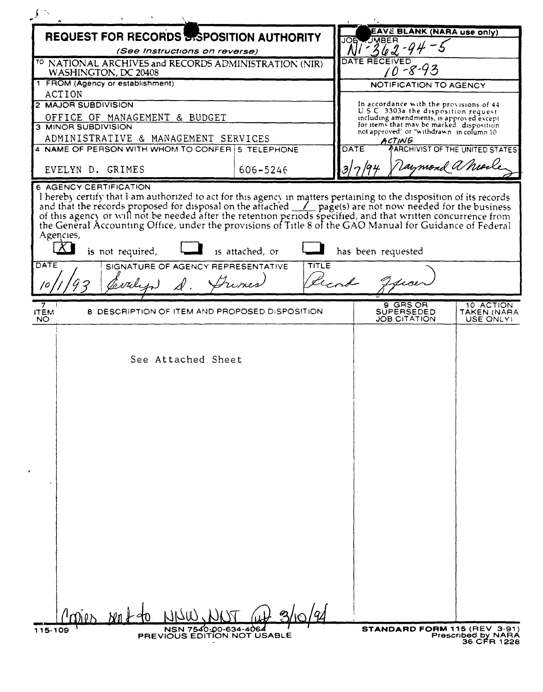| <b>REQUEST FOR RECORDS BISPOSITION AUTHORITY</b>                                                                                                                                                                                                                                                                                                                                                                                                                                                                                                                                                                                                    |          | EAVE BLANK (NARA use only)                                                           |
|-----------------------------------------------------------------------------------------------------------------------------------------------------------------------------------------------------------------------------------------------------------------------------------------------------------------------------------------------------------------------------------------------------------------------------------------------------------------------------------------------------------------------------------------------------------------------------------------------------------------------------------------------------|----------|--------------------------------------------------------------------------------------|
| (See Instructions on reverse)                                                                                                                                                                                                                                                                                                                                                                                                                                                                                                                                                                                                                       |          | JMBER<br>JOE                                                                         |
| <sup>10</sup> NATIONAL ARCHIVES and RECORDS ADMINISTRATION (NIR)<br>WASHINGTON, DC 20408                                                                                                                                                                                                                                                                                                                                                                                                                                                                                                                                                            |          | DATE RECEIVED<br>$10 - 8 - 93$                                                       |
| 1 FROM (Agency or establishment)                                                                                                                                                                                                                                                                                                                                                                                                                                                                                                                                                                                                                    |          | NOTIFICATION TO AGENCY                                                               |
| <b>ACTION</b>                                                                                                                                                                                                                                                                                                                                                                                                                                                                                                                                                                                                                                       |          |                                                                                      |
| 2 MAJOR SUBDIVISION                                                                                                                                                                                                                                                                                                                                                                                                                                                                                                                                                                                                                                 |          | In accordance with the provisions of 44                                              |
| OFFICE OF MANAGEMENT & BUDGET                                                                                                                                                                                                                                                                                                                                                                                                                                                                                                                                                                                                                       |          | U.S.C. 3303a the disposition request<br>including amendments, is approved except     |
| 3 MINOR SUBDIVISION                                                                                                                                                                                                                                                                                                                                                                                                                                                                                                                                                                                                                                 |          | for items that may be marked disposition<br>not approved' or "withdrawn in column 10 |
| ADMINISTRATIVE & MANAGEMENT SERVICES                                                                                                                                                                                                                                                                                                                                                                                                                                                                                                                                                                                                                |          | ACTING                                                                               |
| 4 NAME OF PERSON WITH WHOM TO CONFER 5 TELEPHONE                                                                                                                                                                                                                                                                                                                                                                                                                                                                                                                                                                                                    |          | <b>AARCHIVIST OF THE UNITED STATES!</b><br>DATE                                      |
| EVELYN D. GRIMES                                                                                                                                                                                                                                                                                                                                                                                                                                                                                                                                                                                                                                    | 606-5246 | aymond a Mort                                                                        |
| <b>6 AGENCY CERTIFICATION</b><br>I hereby certify that I am authorized to act for this agency in matters pertaining to the disposition of its records and that the records proposed for disposal on the attached <u>1</u> page(s) are not now needed for the busines<br>of this agency or will not be needed after the retention periods specified, and that written concurrence from<br>the General Accounting Office, under the provisions of Title 8 of the GAO Manual for Guidance of Federal<br>Agencies,<br>is not required,<br>is attached, or<br>has been requested<br>DATE<br><b>TITLE</b><br>SIGNATURE OF AGENCY REPRESENTATIVE<br>Frines |          |                                                                                      |
|                                                                                                                                                                                                                                                                                                                                                                                                                                                                                                                                                                                                                                                     |          | 9 GRS OR<br>10 ACTION                                                                |
| <b>8 DESCRIPTION OF ITEM AND PROPOSED DISPOSITION</b><br><b>ITEM</b><br>NO.                                                                                                                                                                                                                                                                                                                                                                                                                                                                                                                                                                         |          | SUPERSEDED<br>TAKEN (NARA<br><b>JOB CITATION</b><br>USE ONLY)                        |
| See Attached Sheet                                                                                                                                                                                                                                                                                                                                                                                                                                                                                                                                                                                                                                  |          |                                                                                      |
| $\alpha$<br>$Nn+90$                                                                                                                                                                                                                                                                                                                                                                                                                                                                                                                                                                                                                                 |          |                                                                                      |
| NSN 7540-00-634-4064<br>115-109<br>PREVIOUS EDITION NOT USABLE                                                                                                                                                                                                                                                                                                                                                                                                                                                                                                                                                                                      |          | STANDARD FORM 115 (REV 3-91)<br>Prescribed by NARA<br>36 CFR 1228                    |